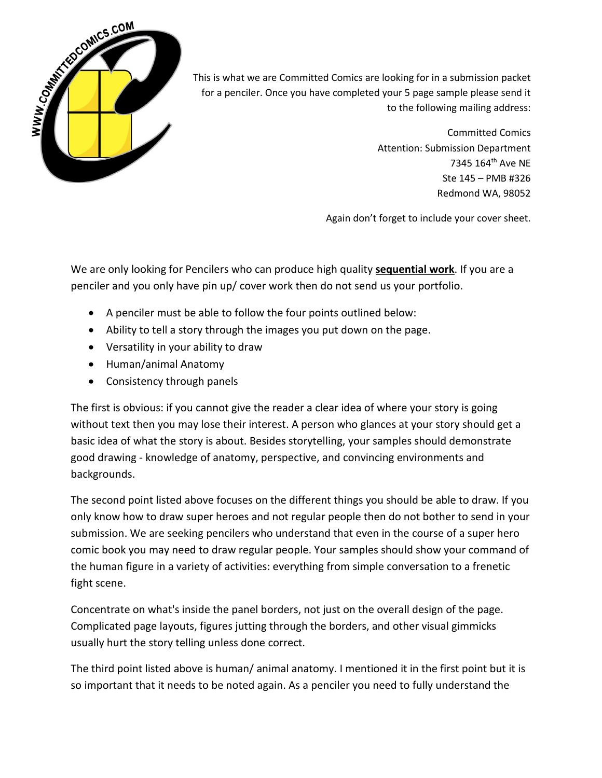

This is what we are Committed Comics are looking for in a submission packet for a penciler. Once you have completed your 5 page sample please send it to the following mailing address:

> Committed Comics Attention: Submission Department 7345 164th Ave NE Ste 145 – PMB #326 Redmond WA, 98052

Again don't forget to include your cover sheet.

We are only looking for Pencilers who can produce high quality **sequential work**. If you are a penciler and you only have pin up/ cover work then do not send us your portfolio.

- A penciler must be able to follow the four points outlined below:
- Ability to tell a story through the images you put down on the page.
- Versatility in your ability to draw
- Human/animal Anatomy
- Consistency through panels

The first is obvious: if you cannot give the reader a clear idea of where your story is going without text then you may lose their interest. A person who glances at your story should get a basic idea of what the story is about. Besides storytelling, your samples should demonstrate good drawing - knowledge of anatomy, perspective, and convincing environments and backgrounds.

The second point listed above focuses on the different things you should be able to draw. If you only know how to draw super heroes and not regular people then do not bother to send in your submission. We are seeking pencilers who understand that even in the course of a super hero comic book you may need to draw regular people. Your samples should show your command of the human figure in a variety of activities: everything from simple conversation to a frenetic fight scene.

Concentrate on what's inside the panel borders, not just on the overall design of the page. Complicated page layouts, figures jutting through the borders, and other visual gimmicks usually hurt the story telling unless done correct.

The third point listed above is human/ animal anatomy. I mentioned it in the first point but it is so important that it needs to be noted again. As a penciler you need to fully understand the